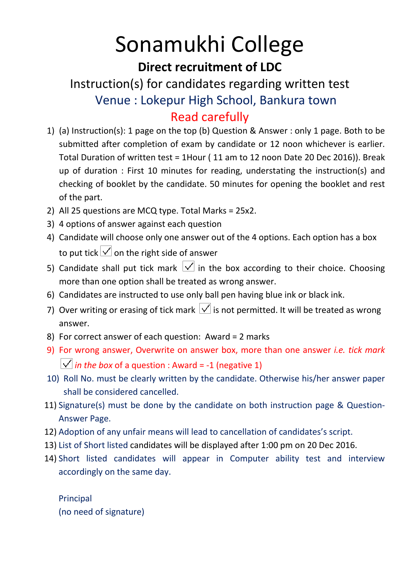## Sonamukhi College

**Direct recruitment of LDC** 

## Instruction(s) for candidates regarding written test Venue : Lokepur High School, Bankura town Read carefully

- 1) (a) Instruction(s): 1 page on the top (b) Question & Answer : only 1 page. Both to be submitted after completion of exam by candidate or 12 noon whichever is earlier. Total Duration of written test = 1Hour ( 11 am to 12 noon Date 20 Dec 2016)). Break up of duration : First 10 minutes for reading, understating the instruction(s) and checking of booklet by the candidate. 50 minutes for opening the booklet and rest of the part.
- 2) All 25 questions are MCQ type. Total Marks = 25x2.
- 3) 4 options of answer against each question
- 4) Candidate will choose only one answer out of the 4 options. Each option has a box to put tick  $\vee$  on the right side of answer
- 5) Candidate shall put tick mark  $\boxed{\vee}$  in the box according to their choice. Choosing more than one option shall be treated as wrong answer.
- 6) Candidates are instructed to use only ball pen having blue ink or black ink.
- 7) Over writing or erasing of tick mark  $\boxed{\vee}$  is not permitted. It will be treated as wrong answer.
- 8) For correct answer of each question: Award = 2 marks
- 9) For wrong answer, Overwrite on answer box, more than one answer *i.e. tick mark*   $\sqrt{\frac{1}{\pi}}$  *in the box* of a question : Award = -1 (negative 1)
- 10) Roll No. must be clearly written by the candidate. Otherwise his/her answer paper shall be considered cancelled.
- 11) Signature(s) must be done by the candidate on both instruction page & Question-Answer Page.
- 12) Adoption of any unfair means will lead to cancellation of candidates's script.
- 13) List of Short listed candidates will be displayed after 1:00 pm on 20 Dec 2016.
- 14) Short listed candidates will appear in Computer ability test and interview accordingly on the same day.

Principal (no need of signature)